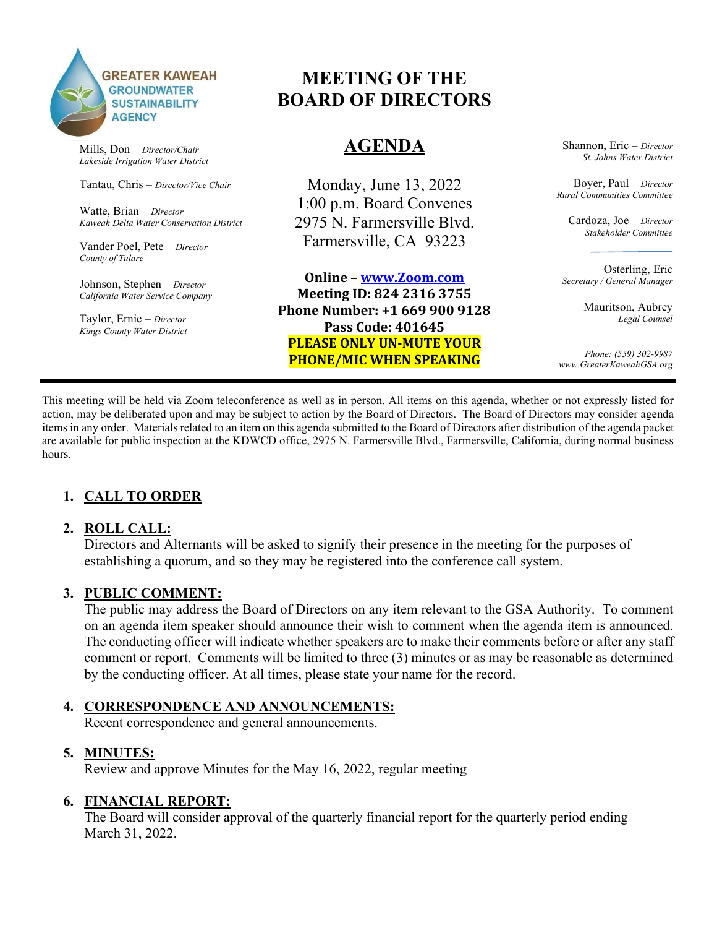

Mills, Don – Director/Chair Lakeside Irrigation Water District

Tantau, Chris – Director/Vice Chair

Watte, Brian – Director Kaweah Delta Water Conservation District

Vander Poel, Pete – Director County of Tulare

Johnson, Stephen – Director California Water Service Company

Taylor, Ernie – Director Kings County Water District

# MEETING OF THE BOARD OF DIRECTORS

# AGENDA

Monday, June 13, 2022 1:00 p.m. Board Convenes 2975 N. Farmersville Blvd. Farmersville, CA 93223

Online – www.Zoom.com Meeting ID: 824 2316 3755 Phone Number: +1 669 900 9128 Pass Code: 401645 PLEASE ONLY UN-MUTE YOUR PHONE/MIC WHEN SPEAKING

Shannon, Eric – Director St. Johns Water District

Boyer, Paul – Director Rural Communities Committee

Cardoza, Joe – Director Stakeholder Committee

Osterling, Eric Secretary / General Manager

> Mauritson, Aubrey Legal Counsel

Phone: (559) 302-9987 www.GreaterKaweahGSA.org

This meeting will be held via Zoom teleconference as well as in person. All items on this agenda, whether or not expressly listed for action, may be deliberated upon and may be subject to action by the Board of Directors. The Board of Directors may consider agenda items in any order. Materials related to an item on this agenda submitted to the Board of Directors after distribution of the agenda packet are available for public inspection at the KDWCD office, 2975 N. Farmersville Blvd., Farmersville, California, during normal business hours.

# 1. CALL TO ORDER

### 2. ROLL CALL:

Directors and Alternants will be asked to signify their presence in the meeting for the purposes of establishing a quorum, and so they may be registered into the conference call system.

### 3. PUBLIC COMMENT:

The public may address the Board of Directors on any item relevant to the GSA Authority. To comment on an agenda item speaker should announce their wish to comment when the agenda item is announced. The conducting officer will indicate whether speakers are to make their comments before or after any staff comment or report. Comments will be limited to three (3) minutes or as may be reasonable as determined by the conducting officer. At all times, please state your name for the record.

### 4. CORRESPONDENCE AND ANNOUNCEMENTS:

Recent correspondence and general announcements.

### 5. MINUTES:

Review and approve Minutes for the May 16, 2022, regular meeting

### 6. FINANCIAL REPORT:

The Board will consider approval of the quarterly financial report for the quarterly period ending March 31, 2022.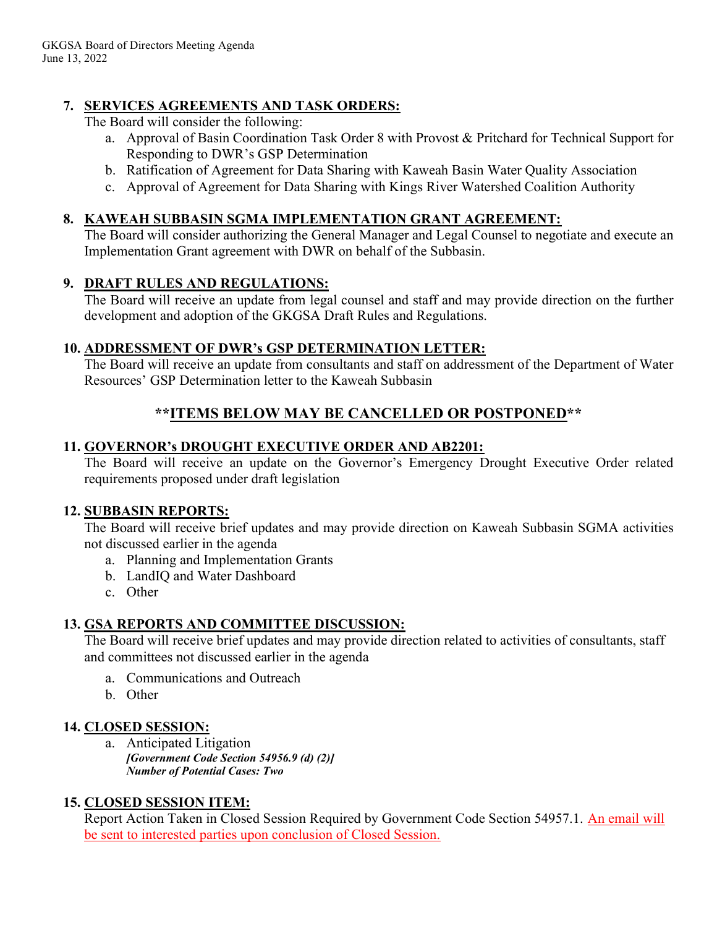# 7. SERVICES AGREEMENTS AND TASK ORDERS:

The Board will consider the following:

- a. Approval of Basin Coordination Task Order 8 with Provost & Pritchard for Technical Support for Responding to DWR's GSP Determination
- b. Ratification of Agreement for Data Sharing with Kaweah Basin Water Quality Association
- c. Approval of Agreement for Data Sharing with Kings River Watershed Coalition Authority

## 8. KAWEAH SUBBASIN SGMA IMPLEMENTATION GRANT AGREEMENT:

The Board will consider authorizing the General Manager and Legal Counsel to negotiate and execute an Implementation Grant agreement with DWR on behalf of the Subbasin.

## 9. DRAFT RULES AND REGULATIONS:

The Board will receive an update from legal counsel and staff and may provide direction on the further development and adoption of the GKGSA Draft Rules and Regulations.

## 10. ADDRESSMENT OF DWR's GSP DETERMINATION LETTER:

The Board will receive an update from consultants and staff on addressment of the Department of Water Resources' GSP Determination letter to the Kaweah Subbasin

# \*\*ITEMS BELOW MAY BE CANCELLED OR POSTPONED\*\*

## 11. GOVERNOR's DROUGHT EXECUTIVE ORDER AND AB2201:

The Board will receive an update on the Governor's Emergency Drought Executive Order related requirements proposed under draft legislation

## 12. SUBBASIN REPORTS:

The Board will receive brief updates and may provide direction on Kaweah Subbasin SGMA activities not discussed earlier in the agenda

- a. Planning and Implementation Grants
- b. LandIQ and Water Dashboard
- c. Other

# 13. GSA REPORTS AND COMMITTEE DISCUSSION:

The Board will receive brief updates and may provide direction related to activities of consultants, staff and committees not discussed earlier in the agenda

- a. Communications and Outreach
- b. Other

# 14. CLOSED SESSION:

a. Anticipated Litigation [Government Code Section 54956.9 (d) (2)] Number of Potential Cases: Two

# 15. CLOSED SESSION ITEM:

Report Action Taken in Closed Session Required by Government Code Section 54957.1. An email will be sent to interested parties upon conclusion of Closed Session.